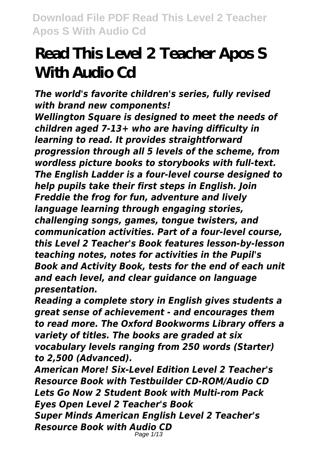# **Read This Level 2 Teacher Apos S With Audio Cd**

*The world's favorite children's series, fully revised with brand new components! Wellington Square is designed to meet the needs of children aged 7-13+ who are having difficulty in learning to read. It provides straightforward progression through all 5 levels of the scheme, from wordless picture books to storybooks with full-text. The English Ladder is a four-level course designed to help pupils take their first steps in English. Join Freddie the frog for fun, adventure and lively language learning through engaging stories, challenging songs, games, tongue twisters, and communication activities. Part of a four-level course, this Level 2 Teacher's Book features lesson-by-lesson teaching notes, notes for activities in the Pupil's Book and Activity Book, tests for the end of each unit and each level, and clear guidance on language presentation.*

*Reading a complete story in English gives students a great sense of achievement - and encourages them to read more. The Oxford Bookworms Library offers a variety of titles. The books are graded at six vocabulary levels ranging from 250 words (Starter) to 2,500 (Advanced).*

*American More! Six-Level Edition Level 2 Teacher's Resource Book with Testbuilder CD-ROM/Audio CD Lets Go Now 2 Student Book with Multi-rom Pack Eyes Open Level 2 Teacher's Book Super Minds American English Level 2 Teacher's Resource Book with Audio CD* Page 1/13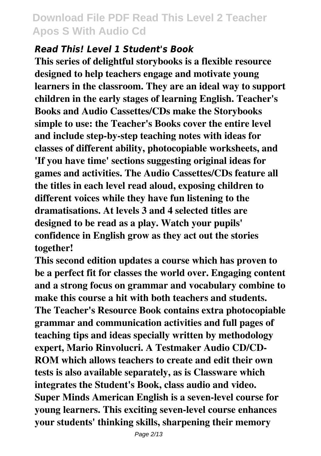#### *Read This! Level 1 Student's Book*

**This series of delightful storybooks is a flexible resource designed to help teachers engage and motivate young learners in the classroom. They are an ideal way to support children in the early stages of learning English. Teacher's Books and Audio Cassettes/CDs make the Storybooks simple to use: the Teacher's Books cover the entire level and include step-by-step teaching notes with ideas for classes of different ability, photocopiable worksheets, and 'If you have time' sections suggesting original ideas for games and activities. The Audio Cassettes/CDs feature all the titles in each level read aloud, exposing children to different voices while they have fun listening to the dramatisations. At levels 3 and 4 selected titles are designed to be read as a play. Watch your pupils' confidence in English grow as they act out the stories together!**

**This second edition updates a course which has proven to be a perfect fit for classes the world over. Engaging content and a strong focus on grammar and vocabulary combine to make this course a hit with both teachers and students. The Teacher's Resource Book contains extra photocopiable grammar and communication activities and full pages of teaching tips and ideas specially written by methodology expert, Mario Rinvolucri. A Testmaker Audio CD/CD-ROM which allows teachers to create and edit their own tests is also available separately, as is Classware which integrates the Student's Book, class audio and video. Super Minds American English is a seven-level course for young learners. This exciting seven-level course enhances your students' thinking skills, sharpening their memory**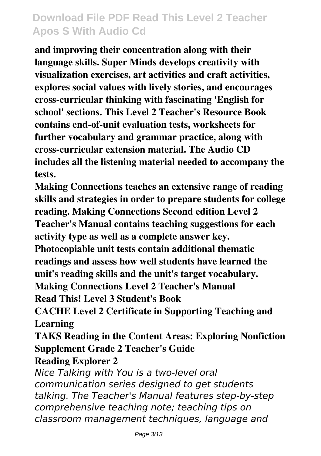**and improving their concentration along with their language skills. Super Minds develops creativity with visualization exercises, art activities and craft activities, explores social values with lively stories, and encourages cross-curricular thinking with fascinating 'English for school' sections. This Level 2 Teacher's Resource Book contains end-of-unit evaluation tests, worksheets for further vocabulary and grammar practice, along with cross-curricular extension material. The Audio CD includes all the listening material needed to accompany the tests.**

**Making Connections teaches an extensive range of reading skills and strategies in order to prepare students for college reading. Making Connections Second edition Level 2 Teacher's Manual contains teaching suggestions for each activity type as well as a complete answer key.**

**Photocopiable unit tests contain additional thematic readings and assess how well students have learned the unit's reading skills and the unit's target vocabulary. Making Connections Level 2 Teacher's Manual**

**Read This! Level 3 Student's Book**

**CACHE Level 2 Certificate in Supporting Teaching and Learning**

**TAKS Reading in the Content Areas: Exploring Nonfiction Supplement Grade 2 Teacher's Guide**

#### **Reading Explorer 2**

*Nice Talking with You is a two-level oral communication series designed to get students talking. The Teacher's Manual features step-by-step comprehensive teaching note; teaching tips on classroom management techniques, language and*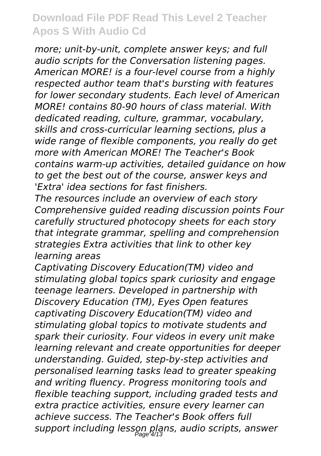*more; unit-by-unit, complete answer keys; and full audio scripts for the Conversation listening pages. American MORE! is a four-level course from a highly respected author team that's bursting with features for lower secondary students. Each level of American MORE! contains 80-90 hours of class material. With dedicated reading, culture, grammar, vocabulary, skills and cross-curricular learning sections, plus a wide range of flexible components, you really do get more with American MORE! The Teacher's Book contains warm-up activities, detailed guidance on how to get the best out of the course, answer keys and 'Extra' idea sections for fast finishers.*

*The resources include an overview of each story Comprehensive guided reading discussion points Four carefully structured photocopy sheets for each story that integrate grammar, spelling and comprehension strategies Extra activities that link to other key learning areas*

*Captivating Discovery Education(TM) video and stimulating global topics spark curiosity and engage teenage learners. Developed in partnership with Discovery Education (TM), Eyes Open features captivating Discovery Education(TM) video and stimulating global topics to motivate students and spark their curiosity. Four videos in every unit make learning relevant and create opportunities for deeper understanding. Guided, step-by-step activities and personalised learning tasks lead to greater speaking and writing fluency. Progress monitoring tools and flexible teaching support, including graded tests and extra practice activities, ensure every learner can achieve success. The Teacher's Book offers full support including lesson plans, audio scripts, answer* Page 4/13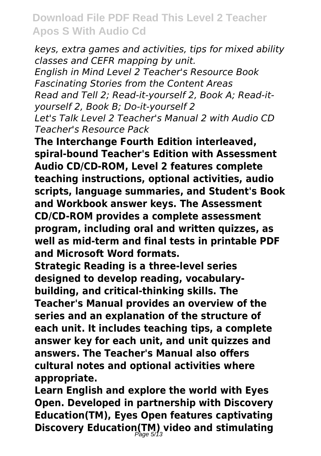*keys, extra games and activities, tips for mixed ability classes and CEFR mapping by unit. English in Mind Level 2 Teacher's Resource Book Fascinating Stories from the Content Areas Read and Tell 2; Read-it-yourself 2, Book A; Read-ityourself 2, Book B; Do-it-yourself 2 Let's Talk Level 2 Teacher's Manual 2 with Audio CD Teacher's Resource Pack*

**The Interchange Fourth Edition interleaved, spiral-bound Teacher's Edition with Assessment Audio CD/CD-ROM, Level 2 features complete teaching instructions, optional activities, audio scripts, language summaries, and Student's Book and Workbook answer keys. The Assessment CD/CD-ROM provides a complete assessment program, including oral and written quizzes, as well as mid-term and final tests in printable PDF and Microsoft Word formats.**

**Strategic Reading is a three-level series designed to develop reading, vocabularybuilding, and critical-thinking skills. The Teacher's Manual provides an overview of the series and an explanation of the structure of each unit. It includes teaching tips, a complete answer key for each unit, and unit quizzes and answers. The Teacher's Manual also offers cultural notes and optional activities where appropriate.**

**Learn English and explore the world with Eyes Open. Developed in partnership with Discovery Education(TM), Eyes Open features captivating Discovery Education(TM) video and stimulating** Page 5/13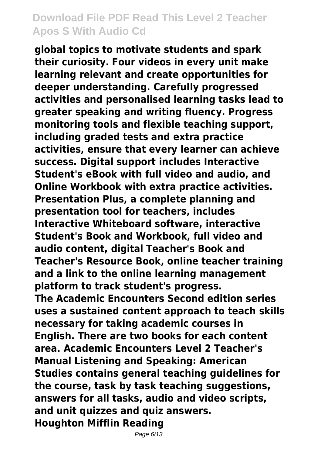**global topics to motivate students and spark their curiosity. Four videos in every unit make learning relevant and create opportunities for deeper understanding. Carefully progressed activities and personalised learning tasks lead to greater speaking and writing fluency. Progress monitoring tools and flexible teaching support, including graded tests and extra practice activities, ensure that every learner can achieve success. Digital support includes Interactive Student's eBook with full video and audio, and Online Workbook with extra practice activities. Presentation Plus, a complete planning and presentation tool for teachers, includes Interactive Whiteboard software, interactive Student's Book and Workbook, full video and audio content, digital Teacher's Book and Teacher's Resource Book, online teacher training and a link to the online learning management platform to track student's progress. The Academic Encounters Second edition series uses a sustained content approach to teach skills necessary for taking academic courses in English. There are two books for each content area. Academic Encounters Level 2 Teacher's Manual Listening and Speaking: American Studies contains general teaching guidelines for the course, task by task teaching suggestions, answers for all tasks, audio and video scripts, and unit quizzes and quiz answers. Houghton Mifflin Reading**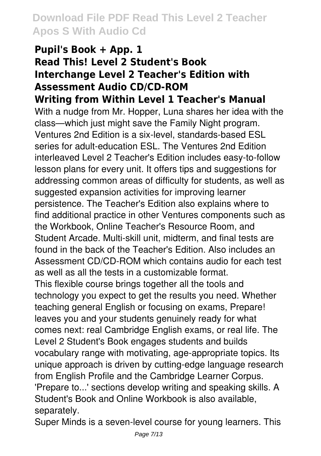# **Pupil's Book + App. 1 Read This! Level 2 Student's Book Interchange Level 2 Teacher's Edition with Assessment Audio CD/CD-ROM**

**Writing from Within Level 1 Teacher's Manual**

With a nudge from Mr. Hopper, Luna shares her idea with the class—which just might save the Family Night program. Ventures 2nd Edition is a six-level, standards-based ESL series for adult-education ESL. The Ventures 2nd Edition interleaved Level 2 Teacher's Edition includes easy-to-follow lesson plans for every unit. It offers tips and suggestions for addressing common areas of difficulty for students, as well as suggested expansion activities for improving learner persistence. The Teacher's Edition also explains where to find additional practice in other Ventures components such as the Workbook, Online Teacher's Resource Room, and Student Arcade. Multi-skill unit, midterm, and final tests are found in the back of the Teacher's Edition. Also includes an Assessment CD/CD-ROM which contains audio for each test as well as all the tests in a customizable format. This flexible course brings together all the tools and technology you expect to get the results you need. Whether teaching general English or focusing on exams, Prepare! leaves you and your students genuinely ready for what comes next: real Cambridge English exams, or real life. The Level 2 Student's Book engages students and builds vocabulary range with motivating, age-appropriate topics. Its

unique approach is driven by cutting-edge language research from English Profile and the Cambridge Learner Corpus. 'Prepare to...' sections develop writing and speaking skills. A Student's Book and Online Workbook is also available, separately.

Super Minds is a seven-level course for young learners. This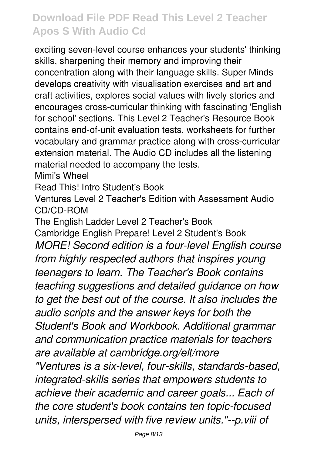exciting seven-level course enhances your students' thinking skills, sharpening their memory and improving their concentration along with their language skills. Super Minds develops creativity with visualisation exercises and art and craft activities, explores social values with lively stories and encourages cross-curricular thinking with fascinating 'English for school' sections. This Level 2 Teacher's Resource Book contains end-of-unit evaluation tests, worksheets for further vocabulary and grammar practice along with cross-curricular extension material. The Audio CD includes all the listening material needed to accompany the tests.

Mimi's Wheel

Read This! Intro Student's Book

Ventures Level 2 Teacher's Edition with Assessment Audio CD/CD-ROM

The English Ladder Level 2 Teacher's Book Cambridge English Prepare! Level 2 Student's Book *MORE! Second edition is a four-level English course from highly respected authors that inspires young teenagers to learn. The Teacher's Book contains teaching suggestions and detailed guidance on how to get the best out of the course. It also includes the audio scripts and the answer keys for both the Student's Book and Workbook. Additional grammar and communication practice materials for teachers are available at cambridge.org/elt/more "Ventures is a six-level, four-skills, standards-based, integrated-skills series that empowers students to achieve their academic and career goals... Each of the core student's book contains ten topic-focused units, interspersed with five review units."--p.viii of*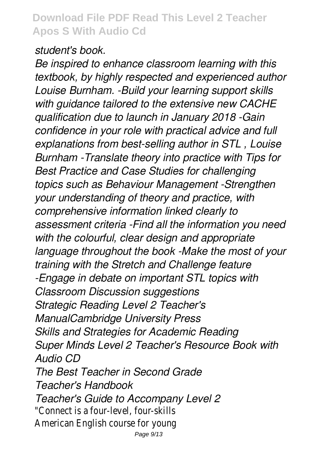#### *student's book.*

*Be inspired to enhance classroom learning with this textbook, by highly respected and experienced author Louise Burnham. -Build your learning support skills with guidance tailored to the extensive new CACHE qualification due to launch in January 2018 -Gain confidence in your role with practical advice and full explanations from best-selling author in STL , Louise Burnham -Translate theory into practice with Tips for Best Practice and Case Studies for challenging topics such as Behaviour Management -Strengthen your understanding of theory and practice, with comprehensive information linked clearly to assessment criteria -Find all the information you need with the colourful, clear design and appropriate language throughout the book -Make the most of your training with the Stretch and Challenge feature -Engage in debate on important STL topics with Classroom Discussion suggestions Strategic Reading Level 2 Teacher's ManualCambridge University Press Skills and Strategies for Academic Reading Super Minds Level 2 Teacher's Resource Book with Audio CD The Best Teacher in Second Grade Teacher's Handbook Teacher's Guide to Accompany Level 2* "Connect is a four-level, four-skills American English course for young Page 9/13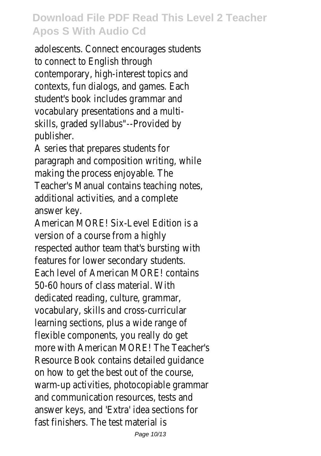adolescents. Connect encourages students to connect to English through contemporary, high-interest topics and contexts, fun dialogs, and games. Each student's book includes grammar and vocabulary presentations and a multiskills, graded syllabus"--Provided by publisher.

A series that prepares students for paragraph and composition writing, while making the process enjoyable. The Teacher's Manual contains teaching notes, additional activities, and a complete answer key.

American MORE! Six-Level Edition is a version of a course from a highly respected author team that's bursting with features for lower secondary students. Each level of American MORE! contains 50-60 hours of class material. With dedicated reading, culture, grammar, vocabulary, skills and cross-curricular learning sections, plus a wide range of flexible components, you really do get more with American MORE! The Teacher's Resource Book contains detailed guidance on how to get the best out of the course, warm-up activities, photocopiable grammar and communication resources, tests and answer keys, and 'Extra' idea sections for fast finishers. The test material is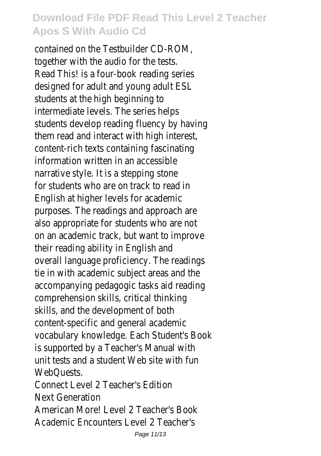contained on the Testbuilder CD-ROM, together with the audio for the tests. Read This! is a four-book reading series designed for adult and young adult ESL students at the high beginning to intermediate levels. The series helps students develop reading fluency by having them read and interact with high interest, content-rich texts containing fascinating information written in an accessible narrative style. It is a stepping stone for students who are on track to read in English at higher levels for academic purposes. The readings and approach are also appropriate for students who are not on an academic track, but want to improve their reading ability in English and overall language proficiency. The readings tie in with academic subject areas and the accompanying pedagogic tasks aid reading comprehension skills, critical thinking skills, and the development of both content-specific and general academic vocabulary knowledge. Each Student's Book is supported by a Teacher's Manual with unit tests and a student Web site with fun WebQuests.

Connect Level 2 Teacher's Edition Next Generation American More! Level 2 Teacher's Book

Academic Encounters Level 2 Teacher's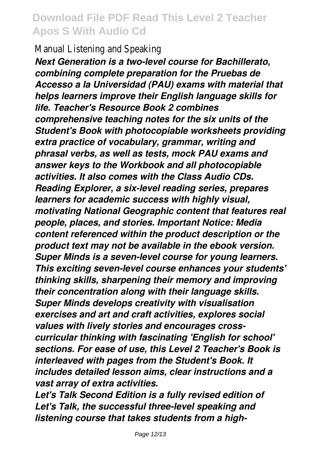#### Manual Listening and Speaking

*Next Generation is a two-level course for Bachillerato, combining complete preparation for the Pruebas de Accesso a la Universidad (PAU) exams with material that helps learners improve their English language skills for life. Teacher's Resource Book 2 combines comprehensive teaching notes for the six units of the Student's Book with photocopiable worksheets providing extra practice of vocabulary, grammar, writing and phrasal verbs, as well as tests, mock PAU exams and answer keys to the Workbook and all photocopiable activities. It also comes with the Class Audio CDs. Reading Explorer, a six-level reading series, prepares learners for academic success with highly visual, motivating National Geographic content that features real people, places, and stories. Important Notice: Media content referenced within the product description or the product text may not be available in the ebook version. Super Minds is a seven-level course for young learners. This exciting seven-level course enhances your students' thinking skills, sharpening their memory and improving their concentration along with their language skills. Super Minds develops creativity with visualisation exercises and art and craft activities, explores social values with lively stories and encourages crosscurricular thinking with fascinating 'English for school' sections. For ease of use, this Level 2 Teacher's Book is interleaved with pages from the Student's Book. It includes detailed lesson aims, clear instructions and a vast array of extra activities.*

*Let's Talk Second Edition is a fully revised edition of Let's Talk, the successful three-level speaking and listening course that takes students from a high-*